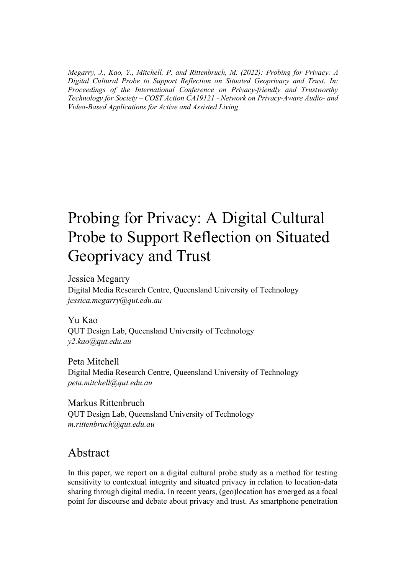*Megarry, J., Kao, Y., Mitchell, P. and Rittenbruch, M. (2022): Probing for Privacy: A Digital Cultural Probe to Support Reflection on Situated Geoprivacy and Trust. In: Proceedings of the International Conference on Privacy-friendly and Trustworthy Technology for Society – COST Action CA19121 - Network on Privacy-Aware Audio- and Video-Based Applications for Active and Assisted Living* 

# Probing for Privacy: A Digital Cultural Probe to Support Reflection on Situated Geoprivacy and Trust

Jessica Megarry

Digital Media Research Centre, Queensland University of Technology *jessica.megarry@qut.edu.au* 

#### Yu Kao

QUT Design Lab, Queensland University of Technology *y2.kao@qut.edu.au* 

Peta Mitchell Digital Media Research Centre, Queensland University of Technology *peta.mitchell@qut.edu.au* 

Markus Rittenbruch QUT Design Lab, Queensland University of Technology *m.rittenbruch@qut.edu.au*

# Abstract

In this paper, we report on a digital cultural probe study as a method for testing sensitivity to contextual integrity and situated privacy in relation to location-data sharing through digital media. In recent years, (geo)location has emerged as a focal point for discourse and debate about privacy and trust. As smartphone penetration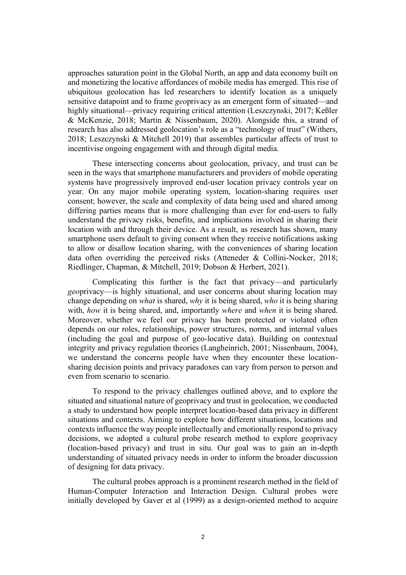approaches saturation point in the Global North, an app and data economy built on and monetizing the locative affordances of mobile media has emerged. This rise of ubiquitous geolocation has led researchers to identify location as a uniquely sensitive datapoint and to frame *geo*privacy as an emergent form of situated—and highly situational—privacy requiring critical attention (Leszczynski, 2017; Keßler & McKenzie, 2018; Martin & Nissenbaum, 2020). Alongside this, a strand of research has also addressed geolocation's role as a "technology of trust" (Withers, 2018; Leszczynski & Mitchell 2019) that assembles particular affects of trust to incentivise ongoing engagement with and through digital media.

These intersecting concerns about geolocation, privacy, and trust can be seen in the ways that smartphone manufacturers and providers of mobile operating systems have progressively improved end-user location privacy controls year on year. On any major mobile operating system, location-sharing requires user consent; however, the scale and complexity of data being used and shared among differing parties means that is more challenging than ever for end-users to fully understand the privacy risks, benefits, and implications involved in sharing their location with and through their device. As a result, as research has shown, many smartphone users default to giving consent when they receive notifications asking to allow or disallow location sharing, with the conveniences of sharing location data often overriding the perceived risks (Atteneder & Collini-Nocker, 2018; Riedlinger, Chapman, & Mitchell, 2019; Dobson & Herbert, 2021).

Complicating this further is the fact that privacy—and particularly *geo*privacy—is highly situational, and user concerns about sharing location may change depending on *what* is shared, *why* it is being shared, *who* it is being sharing with, *how* it is being shared, and, importantly *where* and *when* it is being shared. Moreover, whether we feel our privacy has been protected or violated often depends on our roles, relationships, power structures, norms, and internal values (including the goal and purpose of geo-locative data). Building on contextual integrity and privacy regulation theories (Langheinrich, 2001; Nissenbaum, 2004), we understand the concerns people have when they encounter these locationsharing decision points and privacy paradoxes can vary from person to person and even from scenario to scenario.

To respond to the privacy challenges outlined above, and to explore the situated and situational nature of geoprivacy and trust in geolocation, we conducted a study to understand how people interpret location-based data privacy in different situations and contexts. Aiming to explore how different situations, locations and contexts influence the way people intellectually and emotionally respond to privacy decisions, we adopted a cultural probe research method to explore geoprivacy (location-based privacy) and trust in situ. Our goal was to gain an in-depth understanding of situated privacy needs in order to inform the broader discussion of designing for data privacy.

The cultural probes approach is a prominent research method in the field of Human-Computer Interaction and Interaction Design. Cultural probes were initially developed by Gaver et al (1999) as a design-oriented method to acquire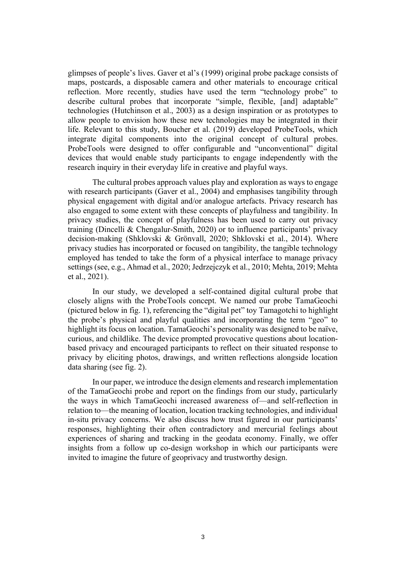glimpses of people's lives. Gaver et al's (1999) original probe package consists of maps, postcards, a disposable camera and other materials to encourage critical reflection. More recently, studies have used the term "technology probe" to describe cultural probes that incorporate "simple, flexible, [and] adaptable" technologies (Hutchinson et al., 2003) as a design inspiration or as prototypes to allow people to envision how these new technologies may be integrated in their life. Relevant to this study, Boucher et al. (2019) developed ProbeTools, which integrate digital components into the original concept of cultural probes. ProbeTools were designed to offer configurable and "unconventional" digital devices that would enable study participants to engage independently with the research inquiry in their everyday life in creative and playful ways.

The cultural probes approach values play and exploration as ways to engage with research participants (Gaver et al., 2004) and emphasises tangibility through physical engagement with digital and/or analogue artefacts. Privacy research has also engaged to some extent with these concepts of playfulness and tangibility. In privacy studies, the concept of playfulness has been used to carry out privacy training (Dincelli & Chengalur-Smith, 2020) or to influence participants' privacy decision-making (Shklovski & Grönvall, 2020; Shklovski et al., 2014). Where privacy studies has incorporated or focused on tangibility, the tangible technology employed has tended to take the form of a physical interface to manage privacy settings (see, e.g., Ahmad et al., 2020; Jedrzejczyk et al., 2010; Mehta, 2019; Mehta et al., 2021).

In our study, we developed a self-contained digital cultural probe that closely aligns with the ProbeTools concept. We named our probe TamaGeochi (pictured below in fig. 1), referencing the "digital pet" toy Tamagotchi to highlight the probe's physical and playful qualities and incorporating the term "geo" to highlight its focus on location. TamaGeochi's personality was designed to be naïve, curious, and childlike. The device prompted provocative questions about locationbased privacy and encouraged participants to reflect on their situated response to privacy by eliciting photos, drawings, and written reflections alongside location data sharing (see fig. 2).

In our paper, we introduce the design elements and research implementation of the TamaGeochi probe and report on the findings from our study, particularly the ways in which TamaGeochi increased awareness of—and self-reflection in relation to—the meaning of location, location tracking technologies, and individual in-situ privacy concerns. We also discuss how trust figured in our participants' responses, highlighting their often contradictory and mercurial feelings about experiences of sharing and tracking in the geodata economy. Finally, we offer insights from a follow up co-design workshop in which our participants were invited to imagine the future of geoprivacy and trustworthy design.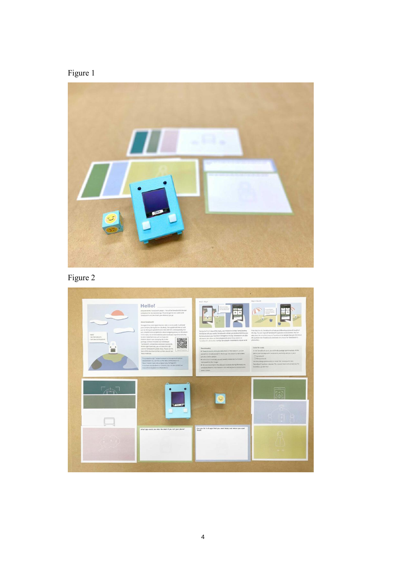



Figure 2

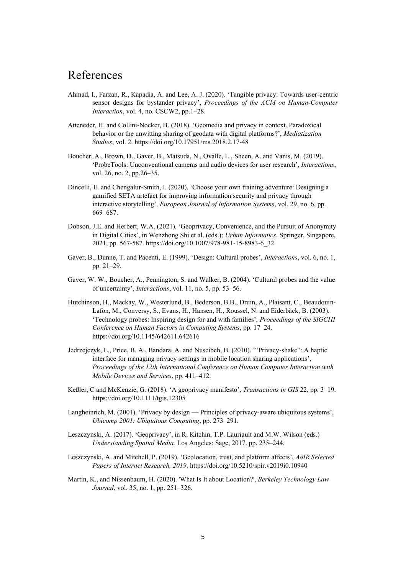## References

- Ahmad, I., Farzan, R., Kapadia, A. and Lee, A. J. (2020). 'Tangible privacy: Towards user-centric sensor designs for bystander privacy', *Proceedings of the ACM on Human-Computer Interaction*, vol. 4, no. CSCW2, pp.1–28.
- Atteneder, H. and Collini-Nocker, B. (2018). 'Geomedia and privacy in context. Paradoxical behavior or the unwitting sharing of geodata with digital platforms?', *Mediatization Studies*, vol. 2. https://doi.org/10.17951/ms.2018.2.17-48
- Boucher, A., Brown, D., Gaver, B., Matsuda, N., Ovalle, L., Sheen, A. and Vanis, M. (2019). 'ProbeTools: Unconventional cameras and audio devices for user research', *Interactions*, vol. 26, no. 2, pp.26–35.
- Dincelli, E. and Chengalur-Smith, I. (2020). 'Choose your own training adventure: Designing a gamified SETA artefact for improving information security and privacy through interactive storytelling', *European Journal of Information Systems*, vol. 29, no. 6, pp. 669–687.
- Dobson, J.E. and Herbert, W.A. (2021). 'Geoprivacy, Convenience, and the Pursuit of Anonymity in Digital Cities', in Wenzhong Shi et al. (eds.): *Urban Informatics.* Springer, Singapore, 2021, pp. 567-587. https://doi.org/10.1007/978-981-15-8983-6\_32
- Gaver, B., Dunne, T. and Pacenti, E. (1999). 'Design: Cultural probes', *Interactions*, vol. 6, no. 1, pp. 21–29.
- Gaver, W. W., Boucher, A., Pennington, S. and Walker, B. (2004). 'Cultural probes and the value of uncertainty', *Interactions*, vol. 11, no. 5, pp. 53–56.
- Hutchinson, H., Mackay, W., Westerlund, B., Bederson, B.B., Druin, A., Plaisant, C., Beaudouin-Lafon, M., Conversy, S., Evans, H., Hansen, H., Roussel, N. and Eiderbäck, B. (2003). 'Technology probes: Inspiring design for and with families', *Proceedings of the SIGCHI Conference on Human Factors in Computing Systems*, pp. 17–24. https://doi.org/10.1145/642611.642616
- Jedrzejczyk, L., Price, B. A., Bandara, A. and Nuseibeh, B. (2010). '"Privacy-shake": A haptic interface for managing privacy settings in mobile location sharing applications', *Proceedings of the 12th International Conference on Human Computer Interaction with Mobile Devices and Services*, pp. 411–412.
- Keßler, C and McKenzie, G. (2018). 'A geoprivacy manifesto', *Transactions in GIS* 22, pp. 3–19. https://doi.org/10.1111/tgis.12305
- Langheinrich, M. (2001). 'Privacy by design Principles of privacy-aware ubiquitous systems', *Ubicomp 2001: Ubiquitous Computing*, pp. 273–291.
- Leszczynski, A. (2017). 'Geoprivacy', in R. Kitchin, T.P. Lauriault and M.W. Wilson (eds.) *Understanding Spatial Media.* Los Angeles: Sage, 2017. pp. 235–244.
- Leszczynski, A. and Mitchell, P. (2019). 'Geolocation, trust, and platform affects', *AoIR Selected Papers of Internet Research, 2019*. https://doi.org/10.5210/spir.v2019i0.10940
- Martin, K., and Nissenbaum, H. (2020). 'What Is It about Location?', *Berkeley Technology Law Journal*, vol. 35, no. 1, pp. 251–326.